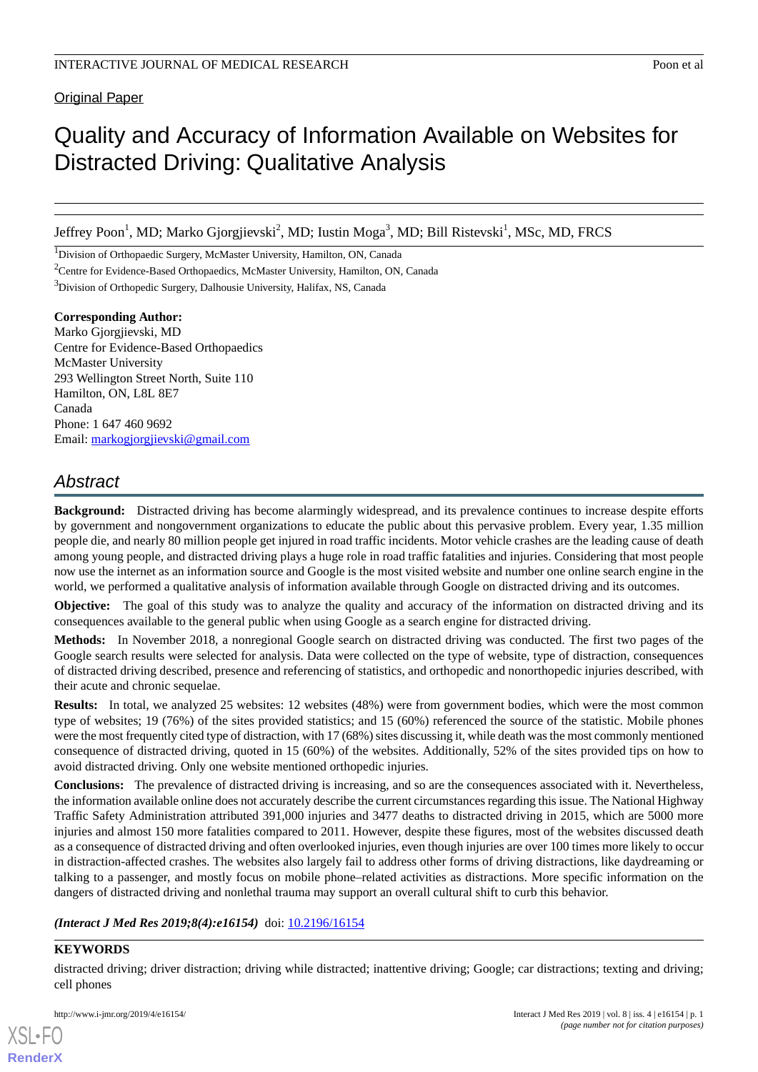**Original Paper** 

# Quality and Accuracy of Information Available on Websites for Distracted Driving: Qualitative Analysis

Jeffrey Poon<sup>1</sup>, MD; Marko Gjorgjievski<sup>2</sup>, MD; Iustin Moga<sup>3</sup>, MD; Bill Ristevski<sup>1</sup>, MSc, MD, FRCS

<sup>1</sup>Division of Orthopaedic Surgery, McMaster University, Hamilton, ON, Canada

<sup>2</sup>Centre for Evidence-Based Orthopaedics, McMaster University, Hamilton, ON, Canada

<sup>3</sup>Division of Orthopedic Surgery, Dalhousie University, Halifax, NS, Canada

**Corresponding Author:** Marko Gjorgjievski, MD Centre for Evidence-Based Orthopaedics McMaster University 293 Wellington Street North, Suite 110 Hamilton, ON, L8L 8E7 Canada Phone: 1 647 460 9692 Email: [markogjorgjievski@gmail.com](mailto:markogjorgjievski@gmail.com)

## *Abstract*

**Background:** Distracted driving has become alarmingly widespread, and its prevalence continues to increase despite efforts by government and nongovernment organizations to educate the public about this pervasive problem. Every year, 1.35 million people die, and nearly 80 million people get injured in road traffic incidents. Motor vehicle crashes are the leading cause of death among young people, and distracted driving plays a huge role in road traffic fatalities and injuries. Considering that most people now use the internet as an information source and Google is the most visited website and number one online search engine in the world, we performed a qualitative analysis of information available through Google on distracted driving and its outcomes.

**Objective:** The goal of this study was to analyze the quality and accuracy of the information on distracted driving and its consequences available to the general public when using Google as a search engine for distracted driving.

**Methods:** In November 2018, a nonregional Google search on distracted driving was conducted. The first two pages of the Google search results were selected for analysis. Data were collected on the type of website, type of distraction, consequences of distracted driving described, presence and referencing of statistics, and orthopedic and nonorthopedic injuries described, with their acute and chronic sequelae.

**Results:** In total, we analyzed 25 websites: 12 websites (48%) were from government bodies, which were the most common type of websites; 19 (76%) of the sites provided statistics; and 15 (60%) referenced the source of the statistic. Mobile phones were the most frequently cited type of distraction, with 17 (68%) sites discussing it, while death was the most commonly mentioned consequence of distracted driving, quoted in 15 (60%) of the websites. Additionally, 52% of the sites provided tips on how to avoid distracted driving. Only one website mentioned orthopedic injuries.

**Conclusions:** The prevalence of distracted driving is increasing, and so are the consequences associated with it. Nevertheless, the information available online does not accurately describe the current circumstances regarding this issue. The National Highway Traffic Safety Administration attributed 391,000 injuries and 3477 deaths to distracted driving in 2015, which are 5000 more injuries and almost 150 more fatalities compared to 2011. However, despite these figures, most of the websites discussed death as a consequence of distracted driving and often overlooked injuries, even though injuries are over 100 times more likely to occur in distraction-affected crashes. The websites also largely fail to address other forms of driving distractions, like daydreaming or talking to a passenger, and mostly focus on mobile phone–related activities as distractions. More specific information on the dangers of distracted driving and nonlethal trauma may support an overall cultural shift to curb this behavior.

*(Interact J Med Res 2019;8(4):e16154)* doi: [10.2196/16154](http://dx.doi.org/10.2196/16154)

#### **KEYWORDS**

[XSL](http://www.w3.org/Style/XSL)•FO **[RenderX](http://www.renderx.com/)**

distracted driving; driver distraction; driving while distracted; inattentive driving; Google; car distractions; texting and driving; cell phones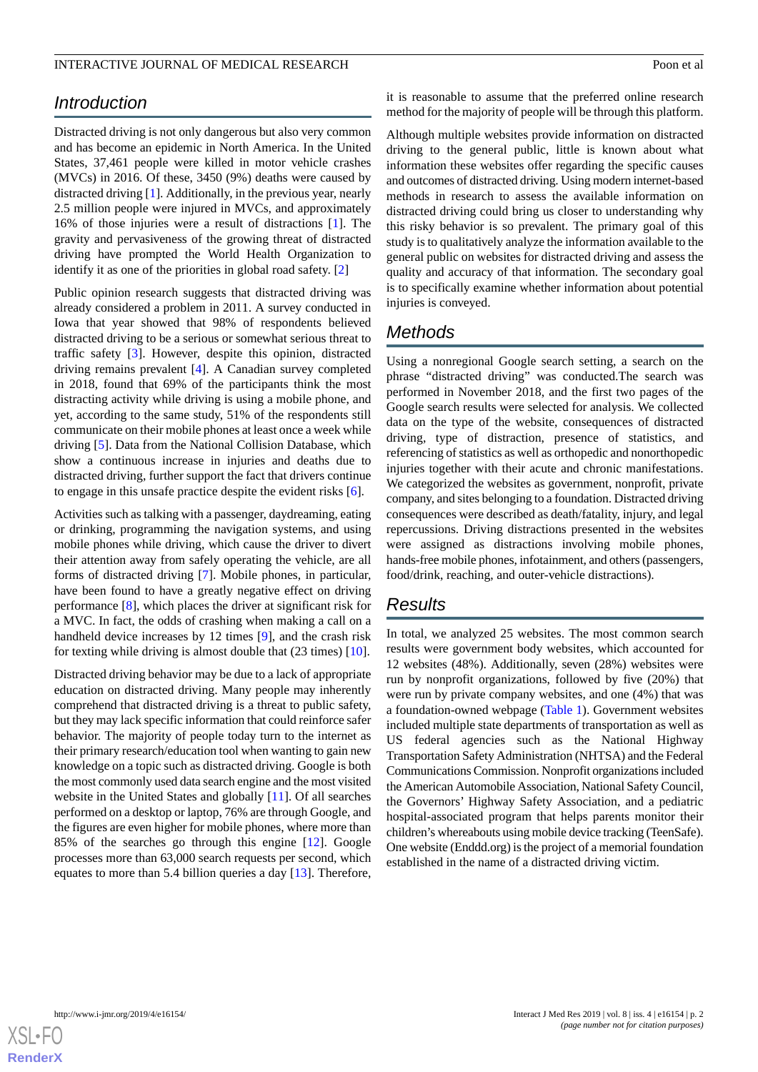#### INTERACTIVE JOURNAL OF MEDICAL RESEARCH **EXAMPLE 2008** 2009 at al

## *Introduction*

Distracted driving is not only dangerous but also very common and has become an epidemic in North America. In the United States, 37,461 people were killed in motor vehicle crashes (MVCs) in 2016. Of these, 3450 (9%) deaths were caused by distracted driving [[1](#page-4-0)]. Additionally, in the previous year, nearly 2.5 million people were injured in MVCs, and approximately 16% of those injuries were a result of distractions [\[1](#page-4-0)]. The gravity and pervasiveness of the growing threat of distracted driving have prompted the World Health Organization to identify it as one of the priorities in global road safety. [[2\]](#page-4-1)

Public opinion research suggests that distracted driving was already considered a problem in 2011. A survey conducted in Iowa that year showed that 98% of respondents believed distracted driving to be a serious or somewhat serious threat to traffic safety [[3](#page-4-2)]. However, despite this opinion, distracted driving remains prevalent [[4](#page-4-3)]. A Canadian survey completed in 2018, found that 69% of the participants think the most distracting activity while driving is using a mobile phone, and yet, according to the same study, 51% of the respondents still communicate on their mobile phones at least once a week while driving [\[5](#page-4-4)]. Data from the National Collision Database, which show a continuous increase in injuries and deaths due to distracted driving, further support the fact that drivers continue to engage in this unsafe practice despite the evident risks [[6](#page-4-5)].

Activities such as talking with a passenger, daydreaming, eating or drinking, programming the navigation systems, and using mobile phones while driving, which cause the driver to divert their attention away from safely operating the vehicle, are all forms of distracted driving [[7\]](#page-4-6). Mobile phones, in particular, have been found to have a greatly negative effect on driving performance [[8\]](#page-4-7), which places the driver at significant risk for a MVC. In fact, the odds of crashing when making a call on a handheld device increases by 12 times [[9](#page-4-8)], and the crash risk for texting while driving is almost double that (23 times) [[10\]](#page-4-9).

Distracted driving behavior may be due to a lack of appropriate education on distracted driving. Many people may inherently comprehend that distracted driving is a threat to public safety, but they may lack specific information that could reinforce safer behavior. The majority of people today turn to the internet as their primary research/education tool when wanting to gain new knowledge on a topic such as distracted driving. Google is both the most commonly used data search engine and the most visited website in the United States and globally [\[11](#page-4-10)]. Of all searches performed on a desktop or laptop, 76% are through Google, and the figures are even higher for mobile phones, where more than 85% of the searches go through this engine [\[12](#page-4-11)]. Google processes more than 63,000 search requests per second, which equates to more than 5.4 billion queries a day [\[13](#page-4-12)]. Therefore,

it is reasonable to assume that the preferred online research method for the majority of people will be through this platform.

Although multiple websites provide information on distracted driving to the general public, little is known about what information these websites offer regarding the specific causes and outcomes of distracted driving. Using modern internet-based methods in research to assess the available information on distracted driving could bring us closer to understanding why this risky behavior is so prevalent. The primary goal of this study is to qualitatively analyze the information available to the general public on websites for distracted driving and assess the quality and accuracy of that information. The secondary goal is to specifically examine whether information about potential injuries is conveyed.

## *Methods*

Using a nonregional Google search setting, a search on the phrase "distracted driving" was conducted.The search was performed in November 2018, and the first two pages of the Google search results were selected for analysis. We collected data on the type of the website, consequences of distracted driving, type of distraction, presence of statistics, and referencing of statistics as well as orthopedic and nonorthopedic injuries together with their acute and chronic manifestations. We categorized the websites as government, nonprofit, private company, and sites belonging to a foundation. Distracted driving consequences were described as death/fatality, injury, and legal repercussions. Driving distractions presented in the websites were assigned as distractions involving mobile phones, hands-free mobile phones, infotainment, and others (passengers, food/drink, reaching, and outer-vehicle distractions).

## *Results*

In total, we analyzed 25 websites. The most common search results were government body websites, which accounted for 12 websites (48%). Additionally, seven (28%) websites were run by nonprofit organizations, followed by five (20%) that were run by private company websites, and one (4%) that was a foundation-owned webpage ([Table 1\)](#page-2-0). Government websites included multiple state departments of transportation as well as US federal agencies such as the National Highway Transportation Safety Administration (NHTSA) and the Federal Communications Commission. Nonprofit organizations included the American Automobile Association, National Safety Council, the Governors' Highway Safety Association, and a pediatric hospital-associated program that helps parents monitor their children's whereabouts using mobile device tracking (TeenSafe). One website (Enddd.org) is the project of a memorial foundation established in the name of a distracted driving victim.

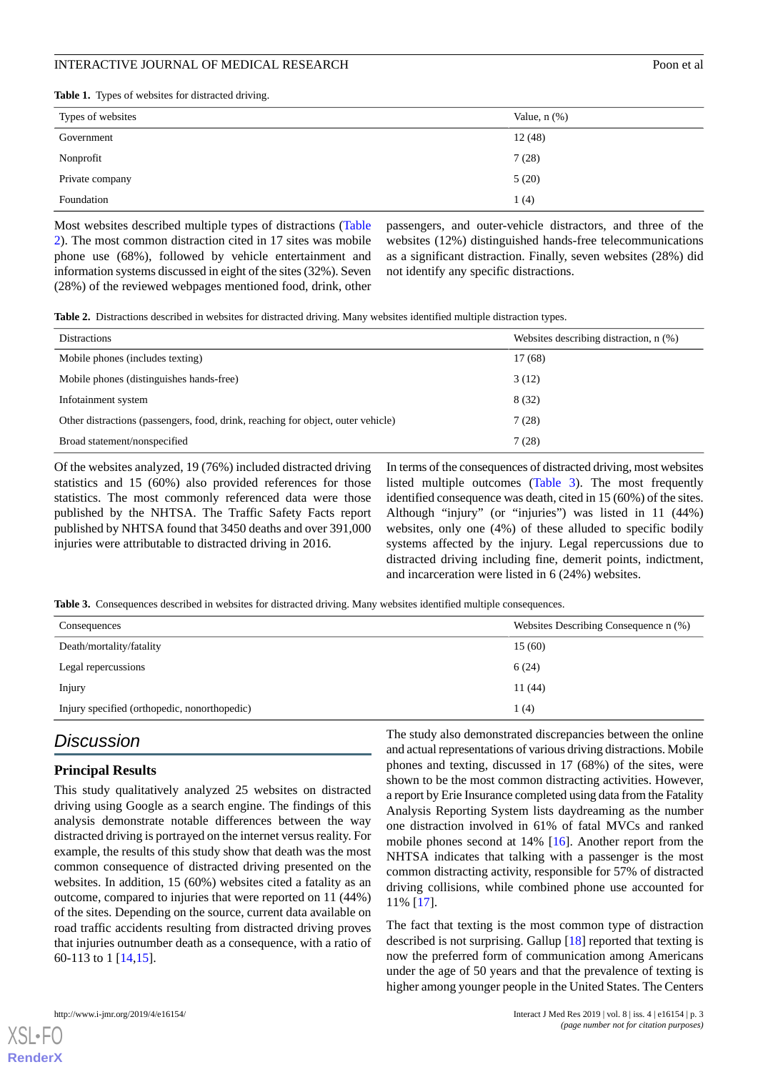#### INTERACTIVE JOURNAL OF MEDICAL RESEARCH **International Seconds** 2000 Poon et al.

<span id="page-2-0"></span>**Table 1.** Types of websites for distracted driving.

| Types of websites | Value, $n$ $(\%)$ |
|-------------------|-------------------|
| Government        | 12(48)            |
| Nonprofit         | 7(28)             |
| Private company   | 5(20)             |
| Foundation        | 1(4)              |

Most websites described multiple types of distractions ([Table](#page-2-1) [2\)](#page-2-1). The most common distraction cited in 17 sites was mobile phone use (68%), followed by vehicle entertainment and information systems discussed in eight of the sites (32%). Seven (28%) of the reviewed webpages mentioned food, drink, other

passengers, and outer-vehicle distractors, and three of the websites (12%) distinguished hands-free telecommunications as a significant distraction. Finally, seven websites (28%) did not identify any specific distractions.

<span id="page-2-1"></span>**Table 2.** Distractions described in websites for distracted driving. Many websites identified multiple distraction types.

| <b>Distractions</b>                                                              | Websites describing distraction, n (%) |
|----------------------------------------------------------------------------------|----------------------------------------|
| Mobile phones (includes texting)                                                 | 17(68)                                 |
| Mobile phones (distinguishes hands-free)                                         | 3(12)                                  |
| Infotainment system                                                              | 8(32)                                  |
| Other distractions (passengers, food, drink, reaching for object, outer vehicle) | 7(28)                                  |
| Broad statement/nonspecified                                                     | 7(28)                                  |

Of the websites analyzed, 19 (76%) included distracted driving statistics and 15 (60%) also provided references for those statistics. The most commonly referenced data were those published by the NHTSA. The Traffic Safety Facts report published by NHTSA found that 3450 deaths and over 391,000 injuries were attributable to distracted driving in 2016.

In terms of the consequences of distracted driving, most websites listed multiple outcomes ([Table 3](#page-2-2)). The most frequently identified consequence was death, cited in 15 (60%) of the sites. Although "injury" (or "injuries") was listed in 11 (44%) websites, only one (4%) of these alluded to specific bodily systems affected by the injury. Legal repercussions due to distracted driving including fine, demerit points, indictment, and incarceration were listed in 6 (24%) websites.

<span id="page-2-2"></span>**Table 3.** Consequences described in websites for distracted driving. Many websites identified multiple consequences.

| Consequences                                 | Websites Describing Consequence n (%) |
|----------------------------------------------|---------------------------------------|
| Death/mortality/fatality                     | 15(60)                                |
| Legal repercussions                          | 6(24)                                 |
| Injury                                       | 11(44)                                |
| Injury specified (orthopedic, nonorthopedic) | 1 (4)                                 |

## *Discussion*

#### **Principal Results**

This study qualitatively analyzed 25 websites on distracted driving using Google as a search engine. The findings of this analysis demonstrate notable differences between the way distracted driving is portrayed on the internet versus reality. For example, the results of this study show that death was the most common consequence of distracted driving presented on the websites. In addition, 15 (60%) websites cited a fatality as an outcome, compared to injuries that were reported on 11 (44%) of the sites. Depending on the source, current data available on road traffic accidents resulting from distracted driving proves that injuries outnumber death as a consequence, with a ratio of 60-113 to 1 [\[14](#page-4-13),[15\]](#page-4-14).

The study also demonstrated discrepancies between the online and actual representations of various driving distractions. Mobile phones and texting, discussed in 17 (68%) of the sites, were shown to be the most common distracting activities. However, a report by Erie Insurance completed using data from the Fatality Analysis Reporting System lists daydreaming as the number one distraction involved in 61% of fatal MVCs and ranked mobile phones second at 14% [\[16](#page-4-15)]. Another report from the NHTSA indicates that talking with a passenger is the most common distracting activity, responsible for 57% of distracted driving collisions, while combined phone use accounted for 11% [[17\]](#page-4-16).

The fact that texting is the most common type of distraction described is not surprising. Gallup [[18\]](#page-4-17) reported that texting is now the preferred form of communication among Americans under the age of 50 years and that the prevalence of texting is higher among younger people in the United States. The Centers



[XSL](http://www.w3.org/Style/XSL)•FO **[RenderX](http://www.renderx.com/)**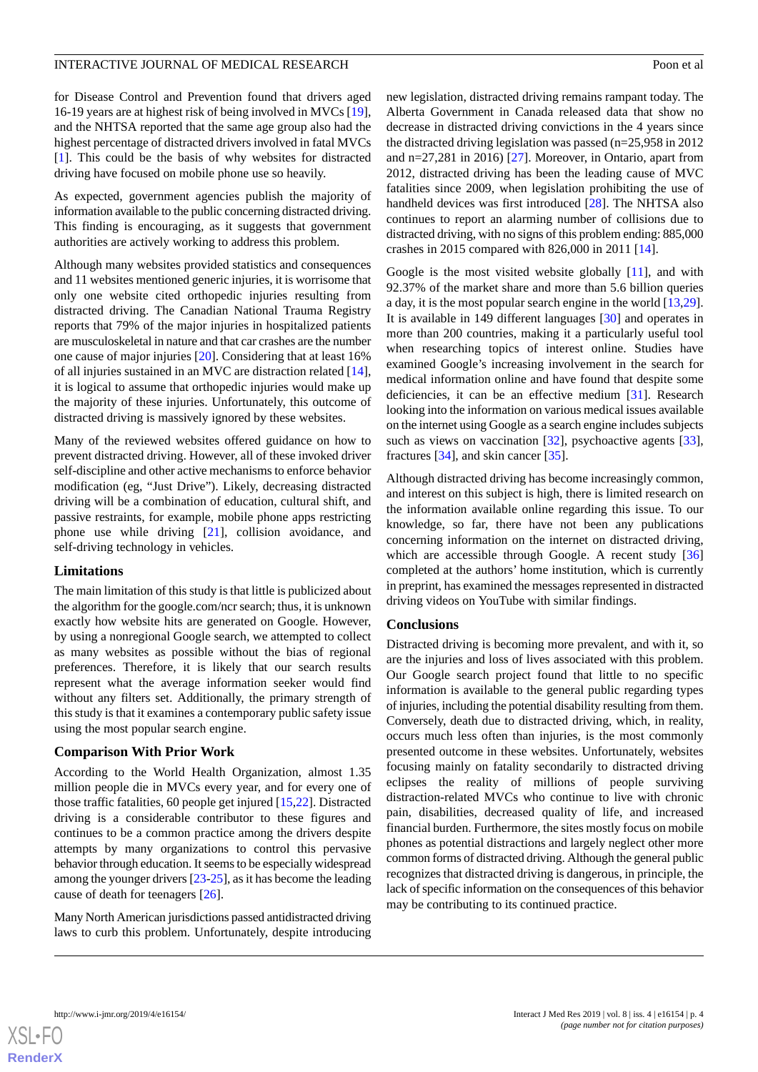#### INTERACTIVE JOURNAL OF MEDICAL RESEARCH **EXAMPLE 2001** 2000 et al.

for Disease Control and Prevention found that drivers aged 16-19 years are at highest risk of being involved in MVCs [[19\]](#page-4-18), and the NHTSA reported that the same age group also had the highest percentage of distracted drivers involved in fatal MVCs [[1\]](#page-4-0). This could be the basis of why websites for distracted driving have focused on mobile phone use so heavily.

As expected, government agencies publish the majority of information available to the public concerning distracted driving. This finding is encouraging, as it suggests that government authorities are actively working to address this problem.

Although many websites provided statistics and consequences and 11 websites mentioned generic injuries, it is worrisome that only one website cited orthopedic injuries resulting from distracted driving. The Canadian National Trauma Registry reports that 79% of the major injuries in hospitalized patients are musculoskeletal in nature and that car crashes are the number one cause of major injuries [\[20](#page-4-19)]. Considering that at least 16% of all injuries sustained in an MVC are distraction related [[14\]](#page-4-13), it is logical to assume that orthopedic injuries would make up the majority of these injuries. Unfortunately, this outcome of distracted driving is massively ignored by these websites.

Many of the reviewed websites offered guidance on how to prevent distracted driving. However, all of these invoked driver self-discipline and other active mechanisms to enforce behavior modification (eg, "Just Drive"). Likely, decreasing distracted driving will be a combination of education, cultural shift, and passive restraints, for example, mobile phone apps restricting phone use while driving [[21\]](#page-4-20), collision avoidance, and self-driving technology in vehicles.

#### **Limitations**

The main limitation of this study is that little is publicized about the algorithm for the google.com/ncr search; thus, it is unknown exactly how website hits are generated on Google. However, by using a nonregional Google search, we attempted to collect as many websites as possible without the bias of regional preferences. Therefore, it is likely that our search results represent what the average information seeker would find without any filters set. Additionally, the primary strength of this study is that it examines a contemporary public safety issue using the most popular search engine.

#### **Comparison With Prior Work**

According to the World Health Organization, almost 1.35 million people die in MVCs every year, and for every one of those traffic fatalities, 60 people get injured [\[15](#page-4-14),[22\]](#page-4-21). Distracted driving is a considerable contributor to these figures and continues to be a common practice among the drivers despite attempts by many organizations to control this pervasive behavior through education. It seems to be especially widespread among the younger drivers [\[23](#page-5-0)[-25](#page-5-1)], as it has become the leading cause of death for teenagers [[26\]](#page-5-2).

Many North American jurisdictions passed antidistracted driving laws to curb this problem. Unfortunately, despite introducing

new legislation, distracted driving remains rampant today. The Alberta Government in Canada released data that show no decrease in distracted driving convictions in the 4 years since the distracted driving legislation was passed (n=25,958 in 2012 and n=27,281 in 2016) [[27\]](#page-5-3). Moreover, in Ontario, apart from 2012, distracted driving has been the leading cause of MVC fatalities since 2009, when legislation prohibiting the use of handheld devices was first introduced [[28\]](#page-5-4). The NHTSA also continues to report an alarming number of collisions due to distracted driving, with no signs of this problem ending: 885,000 crashes in 2015 compared with 826,000 in 2011 [[14\]](#page-4-13).

Google is the most visited website globally [[11\]](#page-4-10), and with 92.37% of the market share and more than 5.6 billion queries a day, it is the most popular search engine in the world [\[13](#page-4-12),[29\]](#page-5-5). It is available in 149 different languages [\[30](#page-5-6)] and operates in more than 200 countries, making it a particularly useful tool when researching topics of interest online. Studies have examined Google's increasing involvement in the search for medical information online and have found that despite some deficiencies, it can be an effective medium [[31\]](#page-5-7). Research looking into the information on various medical issues available on the internet using Google as a search engine includes subjects such as views on vaccination [[32\]](#page-5-8), psychoactive agents [[33\]](#page-5-9), fractures [\[34](#page-5-10)], and skin cancer [[35\]](#page-5-11).

Although distracted driving has become increasingly common, and interest on this subject is high, there is limited research on the information available online regarding this issue. To our knowledge, so far, there have not been any publications concerning information on the internet on distracted driving, which are accessible through Google. A recent study [\[36](#page-5-12)] completed at the authors' home institution, which is currently in preprint, has examined the messages represented in distracted driving videos on YouTube with similar findings.

#### **Conclusions**

Distracted driving is becoming more prevalent, and with it, so are the injuries and loss of lives associated with this problem. Our Google search project found that little to no specific information is available to the general public regarding types of injuries, including the potential disability resulting from them. Conversely, death due to distracted driving, which, in reality, occurs much less often than injuries, is the most commonly presented outcome in these websites. Unfortunately, websites focusing mainly on fatality secondarily to distracted driving eclipses the reality of millions of people surviving distraction-related MVCs who continue to live with chronic pain, disabilities, decreased quality of life, and increased financial burden. Furthermore, the sites mostly focus on mobile phones as potential distractions and largely neglect other more common forms of distracted driving. Although the general public recognizes that distracted driving is dangerous, in principle, the lack of specific information on the consequences of this behavior may be contributing to its continued practice.

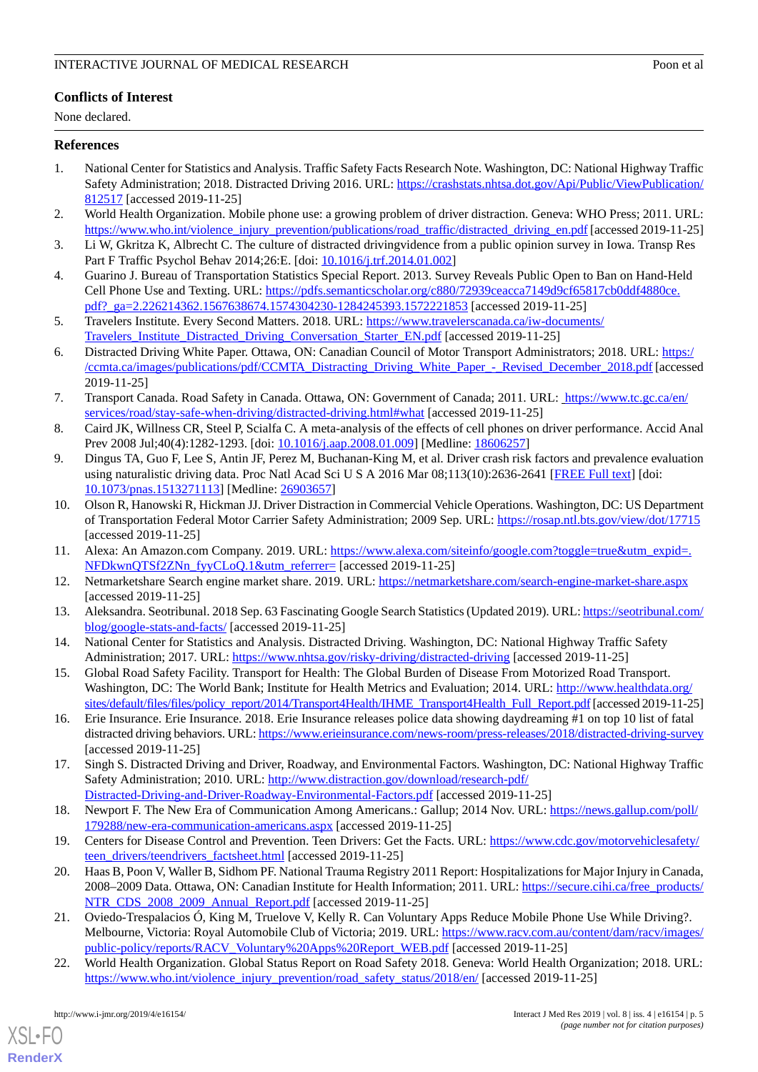## **Conflicts of Interest**

None declared.

#### <span id="page-4-0"></span>**References**

- 1. National Center for Statistics and Analysis. Traffic Safety Facts Research Note. Washington, DC: National Highway Traffic Safety Administration; 2018. Distracted Driving 2016. URL: [https://crashstats.nhtsa.dot.gov/Api/Public/ViewPublication/](https://crashstats.nhtsa.dot.gov/Api/Public/ViewPublication/812517) [812517](https://crashstats.nhtsa.dot.gov/Api/Public/ViewPublication/812517) [accessed 2019-11-25]
- <span id="page-4-2"></span><span id="page-4-1"></span>2. World Health Organization. Mobile phone use: a growing problem of driver distraction. Geneva: WHO Press; 2011. URL: [https://www.who.int/violence\\_injury\\_prevention/publications/road\\_traffic/distracted\\_driving\\_en.pdf](https://www.who.int/violence_injury_prevention/publications/road_traffic/distracted_driving_en.pdf) [accessed 2019-11-25]
- <span id="page-4-3"></span>3. Li W, Gkritza K, Albrecht C. The culture of distracted drivingvidence from a public opinion survey in Iowa. Transp Res Part F Traffic Psychol Behav 2014;26:E. [doi: [10.1016/j.trf.2014.01.002](http://dx.doi.org/10.1016/j.trf.2014.01.002)]
- <span id="page-4-4"></span>4. Guarino J. Bureau of Transportation Statistics Special Report. 2013. Survey Reveals Public Open to Ban on Hand-Held Cell Phone Use and Texting. URL: [https://pdfs.semanticscholar.org/c880/72939ceacca7149d9cf65817cb0ddf4880ce.](https://pdfs.semanticscholar.org/c880/72939ceacca7149d9cf65817cb0ddf4880ce.pdf?_ga=2.226214362.1567638674.1574304230-1284245393.1572221853) pdf? ga=2.226214362.1567638674.1574304230-1284245393.1572221853 [accessed 2019-11-25]
- <span id="page-4-5"></span>5. Travelers Institute. Every Second Matters. 2018. URL: [https://www.travelerscanada.ca/iw-documents/](https://www.travelerscanada.ca/iw-documents/Travelers_Institute_Distracted_Driving_Conversation_Starter_EN.pdf) [Travelers\\_Institute\\_Distracted\\_Driving\\_Conversation\\_Starter\\_EN.pdf](https://www.travelerscanada.ca/iw-documents/Travelers_Institute_Distracted_Driving_Conversation_Starter_EN.pdf) [accessed 2019-11-25]
- <span id="page-4-6"></span>6. Distracted Driving White Paper. Ottawa, ON: Canadian Council of Motor Transport Administrators; 2018. URL: [https:/](https://ccmta.ca/images/publications/pdf/CCMTA_Distracting_Driving_White_Paper_-_Revised_December_2018.pdf) [/ccmta.ca/images/publications/pdf/CCMTA\\_Distracting\\_Driving\\_White\\_Paper\\_-\\_Revised\\_December\\_2018.pdf](https://ccmta.ca/images/publications/pdf/CCMTA_Distracting_Driving_White_Paper_-_Revised_December_2018.pdf) [accessed 2019-11-25]
- <span id="page-4-7"></span>7. Transport Canada. Road Safety in Canada. Ottawa, ON: Government of Canada; 2011. URL: [https://www.tc.gc.ca/en/](https://www.tc.gc.ca/en/services/road/stay-safe-when-driving/distracted-driving.html#what) [services/road/stay-safe-when-driving/distracted-driving.html#what](https://www.tc.gc.ca/en/services/road/stay-safe-when-driving/distracted-driving.html#what) [accessed 2019-11-25]
- <span id="page-4-8"></span>8. Caird JK, Willness CR, Steel P, Scialfa C. A meta-analysis of the effects of cell phones on driver performance. Accid Anal Prev 2008 Jul;40(4):1282-1293. [doi: [10.1016/j.aap.2008.01.009](http://dx.doi.org/10.1016/j.aap.2008.01.009)] [Medline: [18606257\]](http://www.ncbi.nlm.nih.gov/entrez/query.fcgi?cmd=Retrieve&db=PubMed&list_uids=18606257&dopt=Abstract)
- <span id="page-4-9"></span>9. Dingus TA, Guo F, Lee S, Antin JF, Perez M, Buchanan-King M, et al. Driver crash risk factors and prevalence evaluation using naturalistic driving data. Proc Natl Acad Sci U S A 2016 Mar 08;113(10):2636-2641 [\[FREE Full text\]](http://www.pnas.org/cgi/pmidlookup?view=long&pmid=26903657) [doi: [10.1073/pnas.1513271113\]](http://dx.doi.org/10.1073/pnas.1513271113) [Medline: [26903657](http://www.ncbi.nlm.nih.gov/entrez/query.fcgi?cmd=Retrieve&db=PubMed&list_uids=26903657&dopt=Abstract)]
- <span id="page-4-11"></span><span id="page-4-10"></span>10. Olson R, Hanowski R, Hickman JJ. Driver Distraction in Commercial Vehicle Operations. Washington, DC: US Department of Transportation Federal Motor Carrier Safety Administration; 2009 Sep. URL: <https://rosap.ntl.bts.gov/view/dot/17715> [accessed 2019-11-25]
- <span id="page-4-12"></span>11. Alexa: An Amazon.com Company. 2019. URL: [https://www.alexa.com/siteinfo/google.com?toggle=true&utm\\_expid=.](https://www.alexa.com/siteinfo/google.com?toggle=true&utm_expid=.NFDkwnQTSf2ZNn_fyyCLoQ.1&utm_referrer=) [NFDkwnQTSf2ZNn\\_fyyCLoQ.1&utm\\_referrer=](https://www.alexa.com/siteinfo/google.com?toggle=true&utm_expid=.NFDkwnQTSf2ZNn_fyyCLoQ.1&utm_referrer=) [accessed 2019-11-25]
- <span id="page-4-13"></span>12. Netmarketshare Search engine market share. 2019. URL: <https://netmarketshare.com/search-engine-market-share.aspx> [accessed 2019-11-25]
- <span id="page-4-14"></span>13. Aleksandra. Seotribunal. 2018 Sep. 63 Fascinating Google Search Statistics (Updated 2019). URL: [https://seotribunal.com/](https://seotribunal.com/blog/google-stats-and-facts/) [blog/google-stats-and-facts/](https://seotribunal.com/blog/google-stats-and-facts/) [accessed 2019-11-25]
- <span id="page-4-15"></span>14. National Center for Statistics and Analysis. Distracted Driving. Washington, DC: National Highway Traffic Safety Administration; 2017. URL: <https://www.nhtsa.gov/risky-driving/distracted-driving> [accessed 2019-11-25]
- <span id="page-4-16"></span>15. Global Road Safety Facility. Transport for Health: The Global Burden of Disease From Motorized Road Transport. Washington, DC: The World Bank; Institute for Health Metrics and Evaluation; 2014. URL: [http://www.healthdata.org/](http://www.healthdata.org/sites/default/files/files/policy_report/2014/Transport4Health/IHME_Transport4Health_Full_Report.pdf) [sites/default/files/files/policy\\_report/2014/Transport4Health/IHME\\_Transport4Health\\_Full\\_Report.pdf](http://www.healthdata.org/sites/default/files/files/policy_report/2014/Transport4Health/IHME_Transport4Health_Full_Report.pdf) [accessed 2019-11-25]
- <span id="page-4-17"></span>16. Erie Insurance. Erie Insurance. 2018. Erie Insurance releases police data showing daydreaming #1 on top 10 list of fatal distracted driving behaviors. URL:<https://www.erieinsurance.com/news-room/press-releases/2018/distracted-driving-survey> [accessed 2019-11-25]
- <span id="page-4-19"></span><span id="page-4-18"></span>17. Singh S. Distracted Driving and Driver, Roadway, and Environmental Factors. Washington, DC: National Highway Traffic Safety Administration; 2010. URL: [http://www.distraction.gov/download/research-pdf/](http://www.distraction.gov/download/research-pdf/Distracted-Driving-and-Driver-Roadway-Environmental-Factors.pdf) [Distracted-Driving-and-Driver-Roadway-Environmental-Factors.pdf](http://www.distraction.gov/download/research-pdf/Distracted-Driving-and-Driver-Roadway-Environmental-Factors.pdf) [accessed 2019-11-25]
- 18. Newport F. The New Era of Communication Among Americans.: Gallup; 2014 Nov. URL: [https://news.gallup.com/poll/](https://news.gallup.com/poll/179288/new-era-communication-americans.aspx) [179288/new-era-communication-americans.aspx](https://news.gallup.com/poll/179288/new-era-communication-americans.aspx) [accessed 2019-11-25]
- <span id="page-4-20"></span>19. Centers for Disease Control and Prevention. Teen Drivers: Get the Facts. URL: [https://www.cdc.gov/motorvehiclesafety/](https://www.cdc.gov/motorvehiclesafety/teen_drivers/teendrivers_factsheet.html) [teen\\_drivers/teendrivers\\_factsheet.html](https://www.cdc.gov/motorvehiclesafety/teen_drivers/teendrivers_factsheet.html) [accessed 2019-11-25]
- <span id="page-4-21"></span>20. Haas B, Poon V, Waller B, Sidhom PF. National Trauma Registry 2011 Report: Hospitalizations for Major Injury in Canada, 2008–2009 Data. Ottawa, ON: Canadian Institute for Health Information; 2011. URL: [https://secure.cihi.ca/free\\_products/](https://secure.cihi.ca/free_products/NTR_CDS_2008_2009_Annual_Report.pdf) [NTR\\_CDS\\_2008\\_2009\\_Annual\\_Report.pdf](https://secure.cihi.ca/free_products/NTR_CDS_2008_2009_Annual_Report.pdf) [accessed 2019-11-25]
- 21. Oviedo-Trespalacios Ó, King M, Truelove V, Kelly R. Can Voluntary Apps Reduce Mobile Phone Use While Driving?. Melbourne, Victoria: Royal Automobile Club of Victoria; 2019. URL: [https://www.racv.com.au/content/dam/racv/images/](https://www.racv.com.au/content/dam/racv/images/public-policy/reports/RACV_Voluntary%20Apps%20Report_WEB.pdf) [public-policy/reports/RACV\\_Voluntary%20Apps%20Report\\_WEB.pdf](https://www.racv.com.au/content/dam/racv/images/public-policy/reports/RACV_Voluntary%20Apps%20Report_WEB.pdf) [accessed 2019-11-25]
- 22. World Health Organization. Global Status Report on Road Safety 2018. Geneva: World Health Organization; 2018. URL: [https://www.who.int/violence\\_injury\\_prevention/road\\_safety\\_status/2018/en/](https://www.who.int/violence_injury_prevention/road_safety_status/2018/en/) [accessed 2019-11-25]

[XSL](http://www.w3.org/Style/XSL)•FO **[RenderX](http://www.renderx.com/)**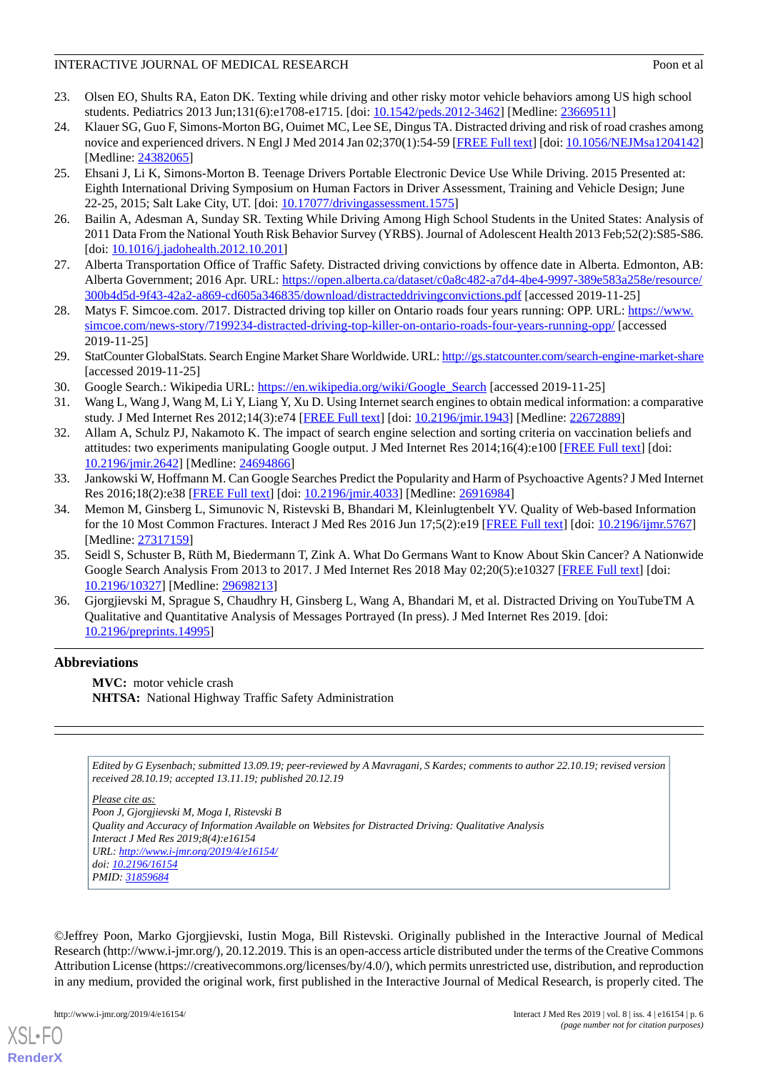#### INTERACTIVE JOURNAL OF MEDICAL RESEARCH **EXAMPLE 2001** 2000 Poon et al.

- <span id="page-5-0"></span>23. Olsen EO, Shults RA, Eaton DK. Texting while driving and other risky motor vehicle behaviors among US high school students. Pediatrics 2013 Jun;131(6):e1708-e1715. [doi: [10.1542/peds.2012-3462\]](http://dx.doi.org/10.1542/peds.2012-3462) [Medline: [23669511\]](http://www.ncbi.nlm.nih.gov/entrez/query.fcgi?cmd=Retrieve&db=PubMed&list_uids=23669511&dopt=Abstract)
- 24. Klauer SG, Guo F, Simons-Morton BG, Ouimet MC, Lee SE, Dingus TA. Distracted driving and risk of road crashes among novice and experienced drivers. N Engl J Med 2014 Jan 02;370(1):54-59 [[FREE Full text](http://europepmc.org/abstract/MED/24382065)] [doi: [10.1056/NEJMsa1204142](http://dx.doi.org/10.1056/NEJMsa1204142)] [Medline: [24382065](http://www.ncbi.nlm.nih.gov/entrez/query.fcgi?cmd=Retrieve&db=PubMed&list_uids=24382065&dopt=Abstract)]
- <span id="page-5-1"></span>25. Ehsani J, Li K, Simons-Morton B. Teenage Drivers Portable Electronic Device Use While Driving. 2015 Presented at: Eighth International Driving Symposium on Human Factors in Driver Assessment, Training and Vehicle Design; June 22-25, 2015; Salt Lake City, UT. [doi: [10.17077/drivingassessment.1575\]](http://dx.doi.org/10.17077/drivingassessment.1575)
- <span id="page-5-3"></span><span id="page-5-2"></span>26. Bailin A, Adesman A, Sunday SR. Texting While Driving Among High School Students in the United States: Analysis of 2011 Data From the National Youth Risk Behavior Survey (YRBS). Journal of Adolescent Health 2013 Feb;52(2):S85-S86. [doi: [10.1016/j.jadohealth.2012.10.201\]](http://dx.doi.org/10.1016/j.jadohealth.2012.10.201)
- <span id="page-5-4"></span>27. Alberta Transportation Office of Traffic Safety. Distracted driving convictions by offence date in Alberta. Edmonton, AB: Alberta Government; 2016 Apr. URL: [https://open.alberta.ca/dataset/c0a8c482-a7d4-4be4-9997-389e583a258e/resource/](https://open.alberta.ca/dataset/c0a8c482-a7d4-4be4-9997-389e583a258e/resource/300b4d5d-9f43-42a2-a869-cd605a346835/download/distracteddrivingconvictions.pdf) [300b4d5d-9f43-42a2-a869-cd605a346835/download/distracteddrivingconvictions.pdf](https://open.alberta.ca/dataset/c0a8c482-a7d4-4be4-9997-389e583a258e/resource/300b4d5d-9f43-42a2-a869-cd605a346835/download/distracteddrivingconvictions.pdf) [accessed 2019-11-25]
- <span id="page-5-5"></span>28. Matys F. Simcoe.com. 2017. Distracted driving top killer on Ontario roads four years running: OPP. URL: [https://www.](https://www.simcoe.com/news-story/7199234-distracted-driving-top-killer-on-ontario-roads-four-years-running-opp/) [simcoe.com/news-story/7199234-distracted-driving-top-killer-on-ontario-roads-four-years-running-opp/](https://www.simcoe.com/news-story/7199234-distracted-driving-top-killer-on-ontario-roads-four-years-running-opp/) [accessed 2019-11-25]
- <span id="page-5-7"></span><span id="page-5-6"></span>29. StatCounter GlobalStats. Search Engine Market Share Worldwide. URL:<http://gs.statcounter.com/search-engine-market-share> [accessed 2019-11-25]
- <span id="page-5-8"></span>30. Google Search.: Wikipedia URL: [https://en.wikipedia.org/wiki/Google\\_Search](https://en.wikipedia.org/wiki/Google_Search) [accessed 2019-11-25]
- 31. Wang L, Wang J, Wang M, Li Y, Liang Y, Xu D. Using Internet search engines to obtain medical information: a comparative study. J Med Internet Res 2012;14(3):e74 [\[FREE Full text\]](http://www.jmir.org/2012/3/e74/) [doi: [10.2196/jmir.1943\]](http://dx.doi.org/10.2196/jmir.1943) [Medline: [22672889\]](http://www.ncbi.nlm.nih.gov/entrez/query.fcgi?cmd=Retrieve&db=PubMed&list_uids=22672889&dopt=Abstract)
- <span id="page-5-9"></span>32. Allam A, Schulz PJ, Nakamoto K. The impact of search engine selection and sorting criteria on vaccination beliefs and attitudes: two experiments manipulating Google output. J Med Internet Res 2014;16(4):e100 [[FREE Full text](http://www.jmir.org/2014/4/e100/)] [doi: [10.2196/jmir.2642](http://dx.doi.org/10.2196/jmir.2642)] [Medline: [24694866](http://www.ncbi.nlm.nih.gov/entrez/query.fcgi?cmd=Retrieve&db=PubMed&list_uids=24694866&dopt=Abstract)]
- <span id="page-5-10"></span>33. Jankowski W, Hoffmann M. Can Google Searches Predict the Popularity and Harm of Psychoactive Agents? J Med Internet Res 2016;18(2):e38 [[FREE Full text\]](http://www.jmir.org/2016/2/e38/) [doi: [10.2196/jmir.4033](http://dx.doi.org/10.2196/jmir.4033)] [Medline: [26916984\]](http://www.ncbi.nlm.nih.gov/entrez/query.fcgi?cmd=Retrieve&db=PubMed&list_uids=26916984&dopt=Abstract)
- <span id="page-5-11"></span>34. Memon M, Ginsberg L, Simunovic N, Ristevski B, Bhandari M, Kleinlugtenbelt YV. Quality of Web-based Information for the 10 Most Common Fractures. Interact J Med Res 2016 Jun 17;5(2):e19 [\[FREE Full text](https://www.i-jmr.org/2016/2/e19/)] [doi: [10.2196/ijmr.5767\]](http://dx.doi.org/10.2196/ijmr.5767) [Medline: [27317159](http://www.ncbi.nlm.nih.gov/entrez/query.fcgi?cmd=Retrieve&db=PubMed&list_uids=27317159&dopt=Abstract)]
- <span id="page-5-12"></span>35. Seidl S, Schuster B, Rüth M, Biedermann T, Zink A. What Do Germans Want to Know About Skin Cancer? A Nationwide Google Search Analysis From 2013 to 2017. J Med Internet Res 2018 May 02;20(5):e10327 [[FREE Full text](http://www.jmir.org/2018/5/e10327/)] [doi: [10.2196/10327\]](http://dx.doi.org/10.2196/10327) [Medline: [29698213\]](http://www.ncbi.nlm.nih.gov/entrez/query.fcgi?cmd=Retrieve&db=PubMed&list_uids=29698213&dopt=Abstract)
- 36. Gjorgjievski M, Sprague S, Chaudhry H, Ginsberg L, Wang A, Bhandari M, et al. Distracted Driving on YouTubeTM A Qualitative and Quantitative Analysis of Messages Portrayed (In press). J Med Internet Res 2019. [doi: [10.2196/preprints.14995\]](http://dx.doi.org/10.2196/preprints.14995)

## **Abbreviations**

**MVC:** motor vehicle crash **NHTSA:** National Highway Traffic Safety Administration

*Edited by G Eysenbach; submitted 13.09.19; peer-reviewed by A Mavragani, S Kardes; comments to author 22.10.19; revised version received 28.10.19; accepted 13.11.19; published 20.12.19*

*Please cite as: Poon J, Gjorgjievski M, Moga I, Ristevski B Quality and Accuracy of Information Available on Websites for Distracted Driving: Qualitative Analysis Interact J Med Res 2019;8(4):e16154 URL: <http://www.i-jmr.org/2019/4/e16154/> doi: [10.2196/16154](http://dx.doi.org/10.2196/16154) PMID: [31859684](http://www.ncbi.nlm.nih.gov/entrez/query.fcgi?cmd=Retrieve&db=PubMed&list_uids=31859684&dopt=Abstract)*

©Jeffrey Poon, Marko Gjorgjievski, Iustin Moga, Bill Ristevski. Originally published in the Interactive Journal of Medical Research (http://www.i-jmr.org/), 20.12.2019. This is an open-access article distributed under the terms of the Creative Commons Attribution License (https://creativecommons.org/licenses/by/4.0/), which permits unrestricted use, distribution, and reproduction in any medium, provided the original work, first published in the Interactive Journal of Medical Research, is properly cited. The

[XSL](http://www.w3.org/Style/XSL)•FO **[RenderX](http://www.renderx.com/)**